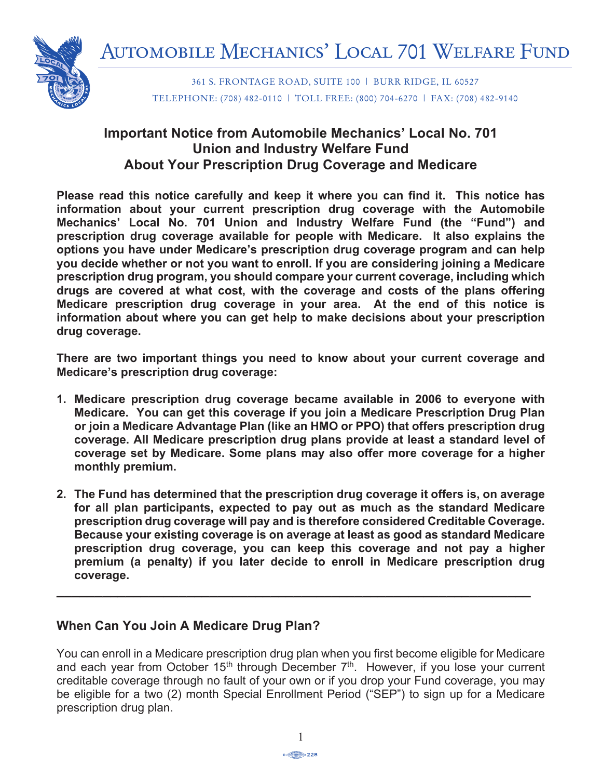

361 S. FRONTAGE ROAD, SUITE 100 | BURR RIDGE, IL 60527 TELEPHONE: (708) 482-0110 | TOLL FREE: (800) 704-6270 | FAX: (708) 482-9140

## **Summary Annual Report for Important Notice from Automobile Mechanics' Local No. 701 Union and Industry Welfare Fund** About Your Prescription Drug Coverage and Medicare

Please read this notice carefully and keep it where you can find it. This notice has information about your current prescription drug coverage with the Automobile Mechanics' Local No. 701 Union and Industry Welfare Fund (the "Fund") and prescription drug coverage available for people with Medicare. It also explains the Employee Retirement Income Security Act of 1974 (ERISA). **options you have under Medicare's prescription drug coverage program and can help**  you aborate thromore of the A<sub>UC</sub> many to omomore your and constabining yoming a modical correspondence of the AU procomplicit and program, you chould compare your carrent coverage, medaling which drugs are covered at what cost, with the coverage and costs of the plans offering dental and/or optical claims incurred under the terms of the plan. **Medicare prescription drug coverage in your area. At the end of this notice is information about where you can get help to make decisions about your prescription**<br>divid acverses **you decide whether or not you want to enroll. If you are considering joining a Medicare drug coverage.**

 $\frac{1}{2}$  are two impartant things you need to know shout your surrant coverage. There are two important things you need to know about your current coverage and<br>Mediasra's prescription drug coverage: Medicare's prescription drug coverage:  $\blacksquare$ 

- 1. Medicare prescription drug coverage became available in 2006 to everyone with **BASIC FINANCIAL STATEMENT or join a Medicare Advantage Plan (like an HMO or PPO) that offers prescription drug**  overage. An meurcare prescription andy plans provide at least a standard contraction of the plan assets of the coverage set by Medicare. Some plans may also offer more coverage for a higher<br>menthly numbers plan experienced a decrease in its net assets of  $\mathbf{S}$ ,  $\mathbf{S}$ **Medicare. You can get this coverage if you join a Medicare Prescription Drug Plan coverage. All Medicare prescription drug plans provide at least a standard level of monthly premium.**
- appreciation or depreciation in the value of plan assets; that is, the difference between the value of the plan's assets at the end of the year and the value of the assets at the beginning of the **2. The Fund has determined that the prescription drug coverage it offers is, on average**  for all plan participants, expected to pay out as much as the standard Medicare prescription drug coverage will pay and is therefore considered Creditable Coverage.<br>— Because your existing coverage is on average at least as good as standard Medicare prescription drug coverage, you can keep this coverage and not pay a higher premium (a penalty) if you later decide to enroll in Medicare prescription drug in benefits paid to participants and beneficiaries. **coverage.**

**\_\_\_\_\_\_\_\_\_\_\_\_\_\_\_\_\_\_\_\_\_\_\_\_\_\_\_\_\_\_\_\_\_\_\_\_\_\_\_\_\_\_\_\_\_\_\_\_\_\_\_\_\_\_\_\_\_\_\_\_\_\_**

# When Can You Join A Medicare Drug Plan?

The items listed below are included in that report: and each year from October 15<sup>th</sup> through December 7<sup>th</sup>. However, if you lose your current creditable coverage through no fault of your own or if you drop your Fund coverage, you may be eligible for a two (2) month Special Enrollment Period ("SEP") to sign up for a Medicare prescription drug plan. **In the sales commissions paid in the sales commissions paid in the sales commission** You can enroll in a Medicare prescription drug plan when you first become eligible for Medicare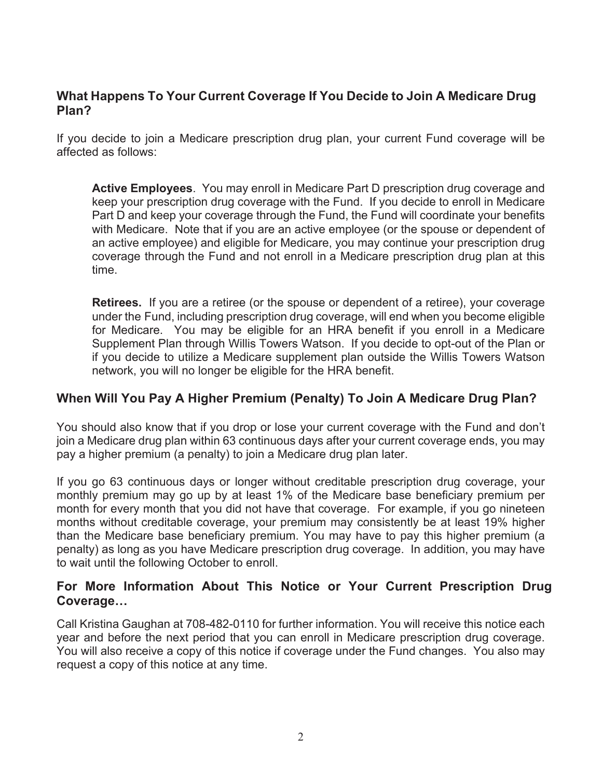#### **What Happens To Your Current Coverage If You Decide to Join A Medicare Drug Plan?**

If you decide to join a Medicare prescription drug plan, your current Fund coverage will be affected as follows:

**Active Employees**.You may enroll in Medicare Part D prescription drug coverage and keep your prescription drug coverage with the Fund. If you decide to enroll in Medicare Part D and keep your coverage through the Fund, the Fund will coordinate your benefits with Medicare. Note that if you are an active employee (or the spouse or dependent of an active employee) and eligible for Medicare, you may continue your prescription drug coverage through the Fund and not enroll in a Medicare prescription drug plan at this time.

**Retirees.** If you are a retiree (or the spouse or dependent of a retiree), your coverage under the Fund, including prescription drug coverage, will end when you become eligible for Medicare. You may be eligible for an HRA benefit if you enroll in a Medicare Supplement Plan through Willis Towers Watson. If you decide to opt-out of the Plan or if you decide to utilize a Medicare supplement plan outside the Willis Towers Watson network, you will no longer be eligible for the HRA benefit.

#### **When Will You Pay A Higher Premium (Penalty) To Join A Medicare Drug Plan?**

You should also know that if you drop or lose your current coverage with the Fund and don't join a Medicare drug plan within 63 continuous days after your current coverage ends, you may pay a higher premium (a penalty) to join a Medicare drug plan later.

If you go 63 continuous days or longer without creditable prescription drug coverage, your monthly premium may go up by at least 1% of the Medicare base beneficiary premium per month for every month that you did not have that coverage. For example, if you go nineteen months without creditable coverage, your premium may consistently be at least 19% higher than the Medicare base beneficiary premium. You may have to pay this higher premium (a penalty) as long as you have Medicare prescription drug coverage. In addition, you may have to wait until the following October to enroll.

#### **For More Information About This Notice or Your Current Prescription Drug Coverage…**

Call Kristina Gaughan at 708-482-0110 for further information. You will receive this notice each year and before the next period that you can enroll in Medicare prescription drug coverage. You will also receive a copy of this notice if coverage under the Fund changes. You also may request a copy of this notice at any time.